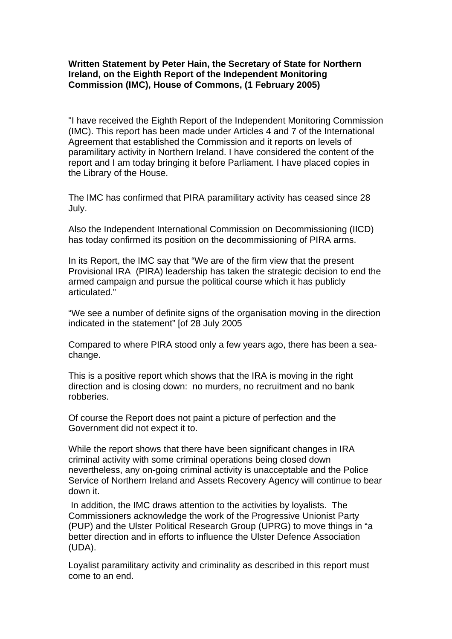## **Written Statement by Peter Hain, the Secretary of State for Northern Ireland, on the Eighth Report of the Independent Monitoring Commission (IMC), House of Commons, (1 February 2005)**

"I have received the Eighth Report of the Independent Monitoring Commission (IMC). This report has been made under Articles 4 and 7 of the International Agreement that established the Commission and it reports on levels of paramilitary activity in Northern Ireland. I have considered the content of the report and I am today bringing it before Parliament. I have placed copies in the Library of the House.

The IMC has confirmed that PIRA paramilitary activity has ceased since 28 July.

Also the Independent International Commission on Decommissioning (IICD) has today confirmed its position on the decommissioning of PIRA arms.

In its Report, the IMC say that "We are of the firm view that the present Provisional IRA (PIRA) leadership has taken the strategic decision to end the armed campaign and pursue the political course which it has publicly articulated."

"We see a number of definite signs of the organisation moving in the direction indicated in the statement" [of 28 July 2005

Compared to where PIRA stood only a few years ago, there has been a seachange.

This is a positive report which shows that the IRA is moving in the right direction and is closing down: no murders, no recruitment and no bank robberies.

Of course the Report does not paint a picture of perfection and the Government did not expect it to.

While the report shows that there have been significant changes in IRA criminal activity with some criminal operations being closed down nevertheless, any on-going criminal activity is unacceptable and the Police Service of Northern Ireland and Assets Recovery Agency will continue to bear down it.

 In addition, the IMC draws attention to the activities by loyalists. The Commissioners acknowledge the work of the Progressive Unionist Party (PUP) and the Ulster Political Research Group (UPRG) to move things in "a better direction and in efforts to influence the Ulster Defence Association (UDA).

Loyalist paramilitary activity and criminality as described in this report must come to an end.